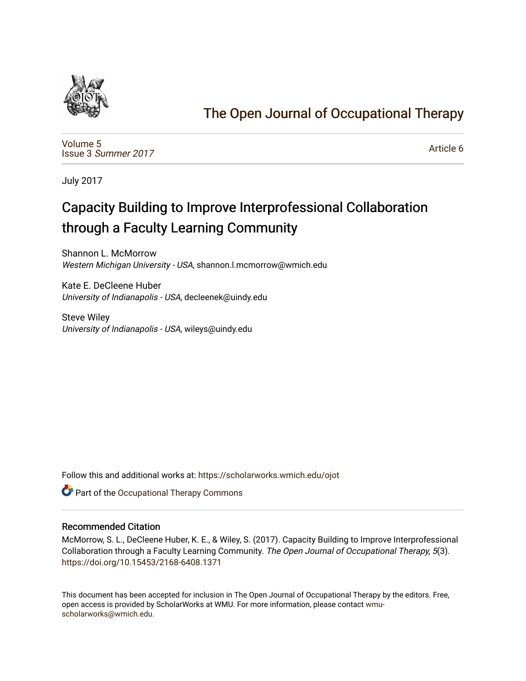

## [The Open Journal of Occupational Therapy](https://scholarworks.wmich.edu/ojot)

[Volume 5](https://scholarworks.wmich.edu/ojot/vol5) Issue 3 [Summer 2017](https://scholarworks.wmich.edu/ojot/vol5/iss3) 

[Article 6](https://scholarworks.wmich.edu/ojot/vol5/iss3/6) 

July 2017

# Capacity Building to Improve Interprofessional Collaboration through a Faculty Learning Community

Shannon L. McMorrow Western Michigan University - USA, shannon.l.mcmorrow@wmich.edu

Kate E. DeCleene Huber University of Indianapolis - USA, decleenek@uindy.edu

Steve Wiley University of Indianapolis - USA, wileys@uindy.edu

Follow this and additional works at: [https://scholarworks.wmich.edu/ojot](https://scholarworks.wmich.edu/ojot?utm_source=scholarworks.wmich.edu%2Fojot%2Fvol5%2Fiss3%2F6&utm_medium=PDF&utm_campaign=PDFCoverPages)

**C** Part of the Occupational Therapy Commons

#### Recommended Citation

McMorrow, S. L., DeCleene Huber, K. E., & Wiley, S. (2017). Capacity Building to Improve Interprofessional Collaboration through a Faculty Learning Community. The Open Journal of Occupational Therapy, 5(3). <https://doi.org/10.15453/2168-6408.1371>

This document has been accepted for inclusion in The Open Journal of Occupational Therapy by the editors. Free, open access is provided by ScholarWorks at WMU. For more information, please contact [wmu](mailto:wmu-scholarworks@wmich.edu)[scholarworks@wmich.edu.](mailto:wmu-scholarworks@wmich.edu)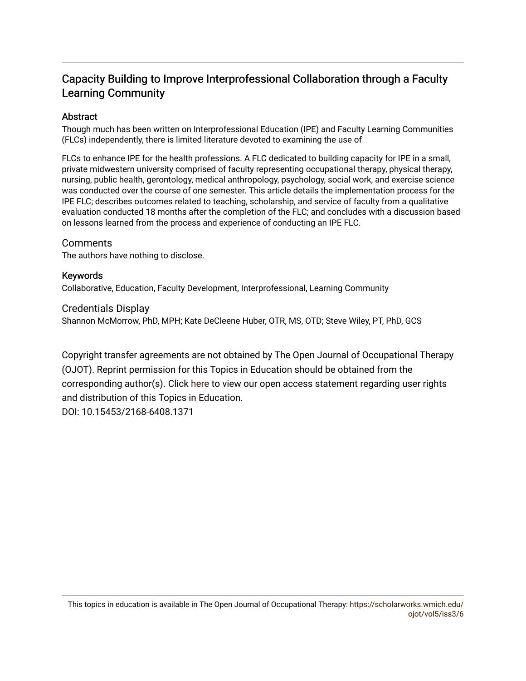## Capacity Building to Improve Interprofessional Collaboration through a Faculty Learning Community

## **Abstract**

Though much has been written on Interprofessional Education (IPE) and Faculty Learning Communities (FLCs) independently, there is limited literature devoted to examining the use of

FLCs to enhance IPE for the health professions. A FLC dedicated to building capacity for IPE in a small, private midwestern university comprised of faculty representing occupational therapy, physical therapy, nursing, public health, gerontology, medical anthropology, psychology, social work, and exercise science was conducted over the course of one semester. This article details the implementation process for the IPE FLC; describes outcomes related to teaching, scholarship, and service of faculty from a qualitative evaluation conducted 18 months after the completion of the FLC; and concludes with a discussion based on lessons learned from the process and experience of conducting an IPE FLC.

## **Comments**

The authors have nothing to disclose.

## Keywords

Collaborative, Education, Faculty Development, Interprofessional, Learning Community

## Credentials Display

Shannon McMorrow, PhD, MPH; Kate DeCleene Huber, OTR, MS, OTD; Steve Wiley, PT, PhD, GCS

Copyright transfer agreements are not obtained by The Open Journal of Occupational Therapy (OJOT). Reprint permission for this Topics in Education should be obtained from the corresponding author(s). Click [here](https://scholarworks.wmich.edu/ojot/policies.html#rights) to view our open access statement regarding user rights and distribution of this Topics in Education. DOI: 10.15453/2168-6408.1371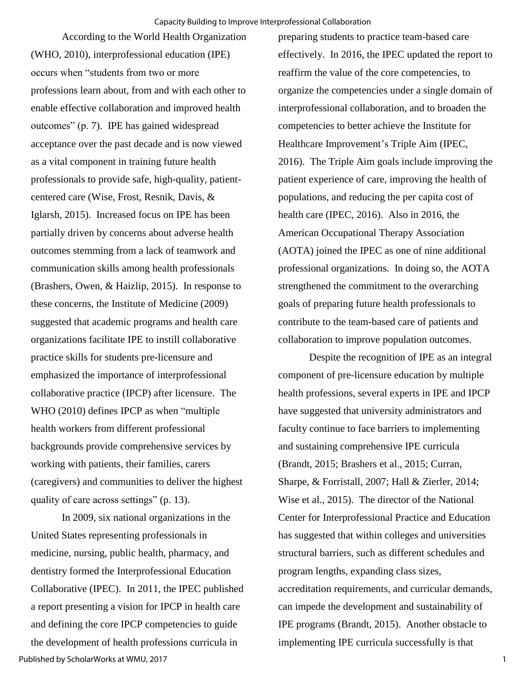According to the World Health Organization (WHO, 2010), interprofessional education (IPE) occurs when "students from two or more professions learn about, from and with each other to enable effective collaboration and improved health outcomes" (p. 7). IPE has gained widespread acceptance over the past decade and is now viewed as a vital component in training future health professionals to provide safe, high-quality, patientcentered care (Wise, Frost, Resnik, Davis, & Iglarsh, 2015). Increased focus on IPE has been partially driven by concerns about adverse health outcomes stemming from a lack of teamwork and communication skills among health professionals (Brashers, Owen, & Haizlip, 2015). In response to these concerns, the Institute of Medicine (2009) suggested that academic programs and health care organizations facilitate IPE to instill collaborative practice skills for students pre-licensure and emphasized the importance of interprofessional collaborative practice (IPCP) after licensure. The WHO (2010) defines IPCP as when "multiple health workers from different professional backgrounds provide comprehensive services by working with patients, their families, carers (caregivers) and communities to deliver the highest quality of care across settings" (p. 13).

In 2009, six national organizations in the United States representing professionals in medicine, nursing, public health, pharmacy, and dentistry formed the Interprofessional Education Collaborative (IPEC). In 2011, the IPEC published a report presenting a vision for IPCP in health care and defining the core IPCP competencies to guide the development of health professions curricula in Published by ScholarWorks at WMU, 2017

preparing students to practice team-based care effectively. In 2016, the IPEC updated the report to reaffirm the value of the core competencies, to organize the competencies under a single domain of interprofessional collaboration, and to broaden the competencies to better achieve the Institute for Healthcare Improvement's Triple Aim (IPEC, 2016). The Triple Aim goals include improving the patient experience of care, improving the health of populations, and reducing the per capita cost of health care (IPEC, 2016). Also in 2016, the American Occupational Therapy Association (AOTA) joined the IPEC as one of nine additional professional organizations. In doing so, the AOTA strengthened the commitment to the overarching goals of preparing future health professionals to contribute to the team-based care of patients and collaboration to improve population outcomes.

Despite the recognition of IPE as an integral component of pre-licensure education by multiple health professions, several experts in IPE and IPCP have suggested that university administrators and faculty continue to face barriers to implementing and sustaining comprehensive IPE curricula (Brandt, 2015; Brashers et al., 2015; Curran, Sharpe, & Forristall, 2007; Hall & Zierler, 2014; Wise et al., 2015). The director of the National Center for Interprofessional Practice and Education has suggested that within colleges and universities structural barriers, such as different schedules and program lengths, expanding class sizes, accreditation requirements, and curricular demands, can impede the development and sustainability of IPE programs (Brandt, 2015). Another obstacle to implementing IPE curricula successfully is that

1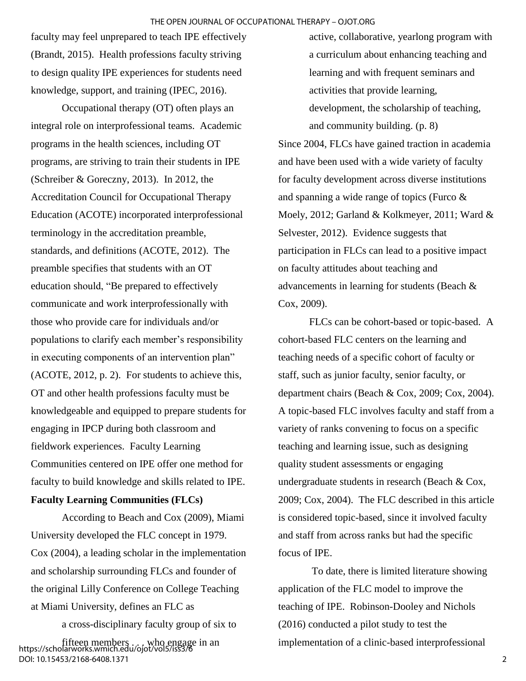faculty may feel unprepared to teach IPE effectively (Brandt, 2015). Health professions faculty striving to design quality IPE experiences for students need knowledge, support, and training (IPEC, 2016).

Occupational therapy (OT) often plays an integral role on interprofessional teams. Academic programs in the health sciences, including OT programs, are striving to train their students in IPE (Schreiber & Goreczny, 2013). In 2012, the Accreditation Council for Occupational Therapy Education (ACOTE) incorporated interprofessional terminology in the accreditation preamble, standards, and definitions (ACOTE, 2012). The preamble specifies that students with an OT education should, "Be prepared to effectively communicate and work interprofessionally with those who provide care for individuals and/or populations to clarify each member's responsibility in executing components of an intervention plan" (ACOTE, 2012, p. 2). For students to achieve this, OT and other health professions faculty must be knowledgeable and equipped to prepare students for engaging in IPCP during both classroom and fieldwork experiences. Faculty Learning Communities centered on IPE offer one method for faculty to build knowledge and skills related to IPE.

### **Faculty Learning Communities (FLCs)**

According to Beach and Cox (2009), Miami University developed the FLC concept in 1979. Cox (2004), a leading scholar in the implementation and scholarship surrounding FLCs and founder of the original Lilly Conference on College Teaching at Miami University, defines an FLC as

a cross-disciplinary faculty group of six to fifteen members . . . who engage in an https://scholarworks.wmich.edu/ojot/vol5/iss3/6

DOI: 10.15453/2168-6408.1371

active, collaborative, yearlong program with a curriculum about enhancing teaching and learning and with frequent seminars and activities that provide learning, development, the scholarship of teaching,

Since 2004, FLCs have gained traction in academia and have been used with a wide variety of faculty for faculty development across diverse institutions and spanning a wide range of topics (Furco & Moely, 2012; Garland & Kolkmeyer, 2011; Ward & Selvester, 2012). Evidence suggests that participation in FLCs can lead to a positive impact on faculty attitudes about teaching and advancements in learning for students (Beach & Cox, 2009).

and community building. (p. 8)

FLCs can be cohort-based or topic-based. A cohort-based FLC centers on the learning and teaching needs of a specific cohort of faculty or staff, such as junior faculty, senior faculty, or department chairs (Beach & Cox, 2009; Cox, 2004). A topic-based FLC involves faculty and staff from a variety of ranks convening to focus on a specific teaching and learning issue, such as designing quality student assessments or engaging undergraduate students in research (Beach & Cox, 2009; Cox, 2004). The FLC described in this article is considered topic-based, since it involved faculty and staff from across ranks but had the specific focus of IPE.

To date, there is limited literature showing application of the FLC model to improve the teaching of IPE. Robinson-Dooley and Nichols (2016) conducted a pilot study to test the implementation of a clinic-based interprofessional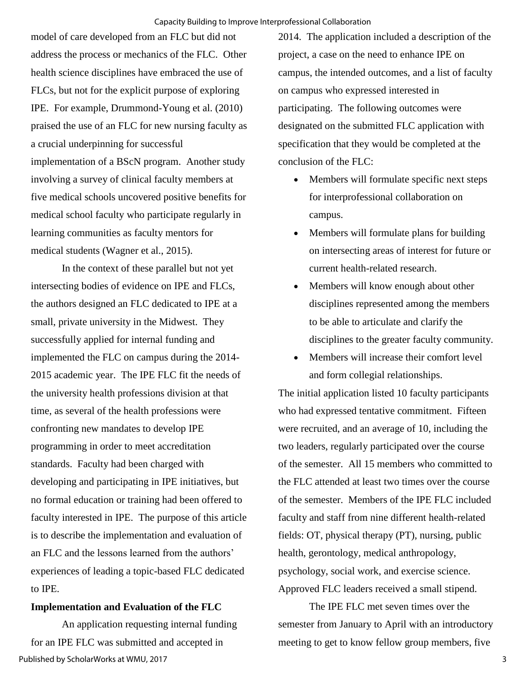model of care developed from an FLC but did not address the process or mechanics of the FLC. Other health science disciplines have embraced the use of FLCs, but not for the explicit purpose of exploring IPE. For example, Drummond-Young et al. (2010) praised the use of an FLC for new nursing faculty as a crucial underpinning for successful implementation of a BScN program. Another study involving a survey of clinical faculty members at five medical schools uncovered positive benefits for medical school faculty who participate regularly in learning communities as faculty mentors for medical students (Wagner et al., 2015).

In the context of these parallel but not yet intersecting bodies of evidence on IPE and FLCs, the authors designed an FLC dedicated to IPE at a small, private university in the Midwest. They successfully applied for internal funding and implemented the FLC on campus during the 2014- 2015 academic year. The IPE FLC fit the needs of the university health professions division at that time, as several of the health professions were confronting new mandates to develop IPE programming in order to meet accreditation standards. Faculty had been charged with developing and participating in IPE initiatives, but no formal education or training had been offered to faculty interested in IPE. The purpose of this article is to describe the implementation and evaluation of an FLC and the lessons learned from the authors' experiences of leading a topic-based FLC dedicated to IPE.

#### **Implementation and Evaluation of the FLC**

An application requesting internal funding for an IPE FLC was submitted and accepted in Published by ScholarWorks at WMU, 2017

2014. The application included a description of the project, a case on the need to enhance IPE on campus, the intended outcomes, and a list of faculty on campus who expressed interested in participating. The following outcomes were designated on the submitted FLC application with specification that they would be completed at the conclusion of the FLC:

- Members will formulate specific next steps for interprofessional collaboration on campus.
- Members will formulate plans for building on intersecting areas of interest for future or current health-related research.
- Members will know enough about other disciplines represented among the members to be able to articulate and clarify the disciplines to the greater faculty community.
- Members will increase their comfort level and form collegial relationships.

The initial application listed 10 faculty participants who had expressed tentative commitment. Fifteen were recruited, and an average of 10, including the two leaders, regularly participated over the course of the semester. All 15 members who committed to the FLC attended at least two times over the course of the semester. Members of the IPE FLC included faculty and staff from nine different health-related fields: OT, physical therapy (PT), nursing, public health, gerontology, medical anthropology, psychology, social work, and exercise science. Approved FLC leaders received a small stipend.

The IPE FLC met seven times over the semester from January to April with an introductory meeting to get to know fellow group members, five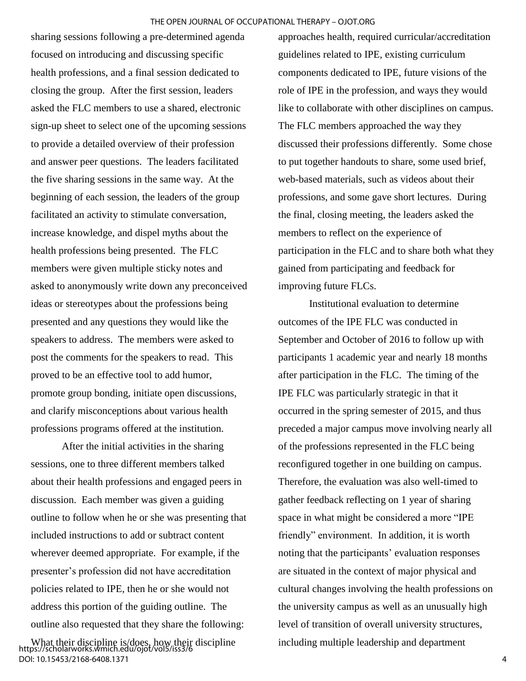sharing sessions following a pre-determined agenda focused on introducing and discussing specific health professions, and a final session dedicated to closing the group. After the first session, leaders asked the FLC members to use a shared, electronic sign-up sheet to select one of the upcoming sessions to provide a detailed overview of their profession and answer peer questions. The leaders facilitated the five sharing sessions in the same way. At the beginning of each session, the leaders of the group facilitated an activity to stimulate conversation, increase knowledge, and dispel myths about the health professions being presented. The FLC members were given multiple sticky notes and asked to anonymously write down any preconceived ideas or stereotypes about the professions being presented and any questions they would like the speakers to address. The members were asked to post the comments for the speakers to read. This proved to be an effective tool to add humor, promote group bonding, initiate open discussions, and clarify misconceptions about various health professions programs offered at the institution.

 After the initial activities in the sharing sessions, one to three different members talked about their health professions and engaged peers in discussion. Each member was given a guiding outline to follow when he or she was presenting that included instructions to add or subtract content wherever deemed appropriate. For example, if the presenter's profession did not have accreditation policies related to IPE, then he or she would not address this portion of the guiding outline. The outline also requested that they share the following:

approaches health, required curricular/accreditation guidelines related to IPE, existing curriculum components dedicated to IPE, future visions of the role of IPE in the profession, and ways they would like to collaborate with other disciplines on campus. The FLC members approached the way they discussed their professions differently. Some chose to put together handouts to share, some used brief, web-based materials, such as videos about their professions, and some gave short lectures. During the final, closing meeting, the leaders asked the members to reflect on the experience of participation in the FLC and to share both what they gained from participating and feedback for improving future FLCs.

Institutional evaluation to determine outcomes of the IPE FLC was conducted in September and October of 2016 to follow up with participants 1 academic year and nearly 18 months after participation in the FLC. The timing of the IPE FLC was particularly strategic in that it occurred in the spring semester of 2015, and thus preceded a major campus move involving nearly all of the professions represented in the FLC being reconfigured together in one building on campus. Therefore, the evaluation was also well-timed to gather feedback reflecting on 1 year of sharing space in what might be considered a more "IPE friendly" environment. In addition, it is worth noting that the participants' evaluation responses are situated in the context of major physical and cultural changes involving the health professions on the university campus as well as an unusually high level of transition of overall university structures, including multiple leadership and department

What their discipline is/does, how their discipline https://scholarworks.wmich.edu/ojot/vol5/iss3/6 DOI: 10.15453/2168-6408.1371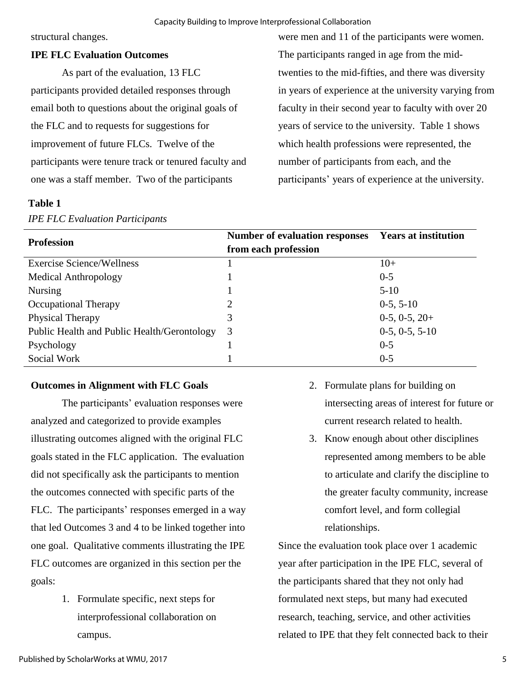#### Capacity Building to Improve Interprofessional Collaboration

structural changes.

## **IPE FLC Evaluation Outcomes**

As part of the evaluation, 13 FLC participants provided detailed responses through email both to questions about the original goals of the FLC and to requests for suggestions for improvement of future FLCs. Twelve of the participants were tenure track or tenured faculty and one was a staff member. Two of the participants

### **Table 1**

## *IPE FLC Evaluation Participants*

were men and 11 of the participants were women. The participants ranged in age from the midtwenties to the mid-fifties, and there was diversity in years of experience at the university varying from faculty in their second year to faculty with over 20 years of service to the university. Table 1 shows which health professions were represented, the number of participants from each, and the participants' years of experience at the university.

| <b>Profession</b>                           | <b>Number of evaluation responses</b><br>from each profession | <b>Years at institution</b> |
|---------------------------------------------|---------------------------------------------------------------|-----------------------------|
| <b>Exercise Science/Wellness</b>            |                                                               | $10+$                       |
| Medical Anthropology                        |                                                               | $0 - 5$                     |
| <b>Nursing</b>                              |                                                               | $5-10$                      |
| Occupational Therapy                        | ∍                                                             | $0-5, 5-10$                 |
| Physical Therapy                            | 3                                                             | $0-5, 0-5, 20+$             |
| Public Health and Public Health/Gerontology | 3                                                             | $0-5, 0-5, 5-10$            |
| Psychology                                  |                                                               | $0 - 5$                     |
| Social Work                                 |                                                               | $0 - 5$                     |

#### **Outcomes in Alignment with FLC Goals**

The participants' evaluation responses were analyzed and categorized to provide examples illustrating outcomes aligned with the original FLC goals stated in the FLC application. The evaluation did not specifically ask the participants to mention the outcomes connected with specific parts of the FLC. The participants' responses emerged in a way that led Outcomes 3 and 4 to be linked together into one goal. Qualitative comments illustrating the IPE FLC outcomes are organized in this section per the goals:

> 1. Formulate specific, next steps for interprofessional collaboration on campus.

- 2. Formulate plans for building on intersecting areas of interest for future or current research related to health.
- 3. Know enough about other disciplines represented among members to be able to articulate and clarify the discipline to the greater faculty community, increase comfort level, and form collegial relationships.

Since the evaluation took place over 1 academic year after participation in the IPE FLC, several of the participants shared that they not only had formulated next steps, but many had executed research, teaching, service, and other activities related to IPE that they felt connected back to their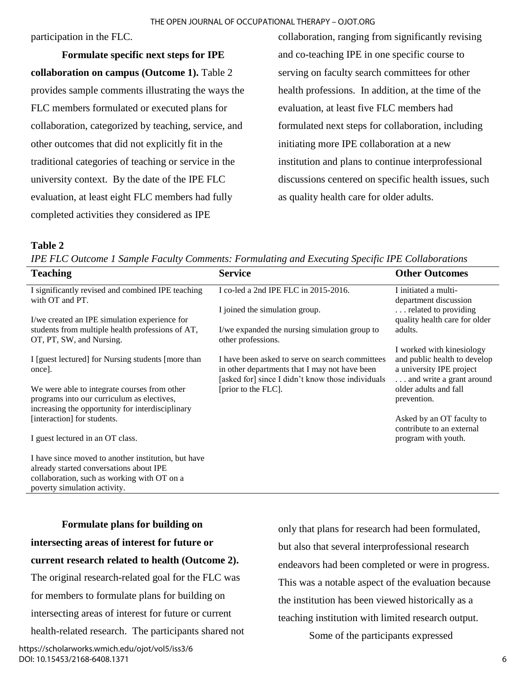participation in the FLC.

**Formulate specific next steps for IPE collaboration on campus (Outcome 1).** Table 2 provides sample comments illustrating the ways the FLC members formulated or executed plans for collaboration, categorized by teaching, service, and other outcomes that did not explicitly fit in the traditional categories of teaching or service in the university context. By the date of the IPE FLC evaluation, at least eight FLC members had fully completed activities they considered as IPE

collaboration, ranging from significantly revising and co-teaching IPE in one specific course to serving on faculty search committees for other health professions. In addition, at the time of the evaluation, at least five FLC members had formulated next steps for collaboration, including initiating more IPE collaboration at a new institution and plans to continue interprofessional discussions centered on specific health issues, such as quality health care for older adults.

## **Table 2**

*IPE FLC Outcome 1 Sample Faculty Comments: Formulating and Executing Specific IPE Collaborations* 

| <b>Teaching</b>                                                                                | <b>Service</b>                                                                                     | <b>Other Outcomes</b>                                     |
|------------------------------------------------------------------------------------------------|----------------------------------------------------------------------------------------------------|-----------------------------------------------------------|
| I significantly revised and combined IPE teaching<br>with OT and PT.                           | I co-led a 2nd IPE FLC in 2015-2016.                                                               | I initiated a multi-<br>department discussion             |
| I/we created an IPE simulation experience for                                                  | I joined the simulation group.                                                                     | related to providing<br>quality health care for older     |
| students from multiple health professions of AT,<br>OT, PT, SW, and Nursing.                   | I/we expanded the nursing simulation group to<br>other professions.                                | adults.                                                   |
| I [guest lectured] for Nursing students [more than                                             | I have been asked to serve on search committees                                                    | I worked with kinesiology<br>and public health to develop |
| once].                                                                                         | in other departments that I may not have been<br>[asked for] since I didn't know those individuals | a university IPE project<br>and write a grant around      |
| We were able to integrate courses from other<br>programs into our curriculum as electives,     | [prior to the FLC].                                                                                | older adults and fall<br>prevention.                      |
| increasing the opportunity for interdisciplinary<br>[interaction] for students.                |                                                                                                    | Asked by an OT faculty to<br>contribute to an external    |
| I guest lectured in an OT class.                                                               |                                                                                                    | program with youth.                                       |
| I have since moved to another institution, but have<br>already started conversations about IPE |                                                                                                    |                                                           |

collaboration, such as working with OT on a poverty simulation activity.

**Formulate plans for building on intersecting areas of interest for future or current research related to health (Outcome 2).**  The original research-related goal for the FLC was for members to formulate plans for building on intersecting areas of interest for future or current

health-related research. The participants shared not

only that plans for research had been formulated, but also that several interprofessional research endeavors had been completed or were in progress. This was a notable aspect of the evaluation because the institution has been viewed historically as a teaching institution with limited research output.

Some of the participants expressed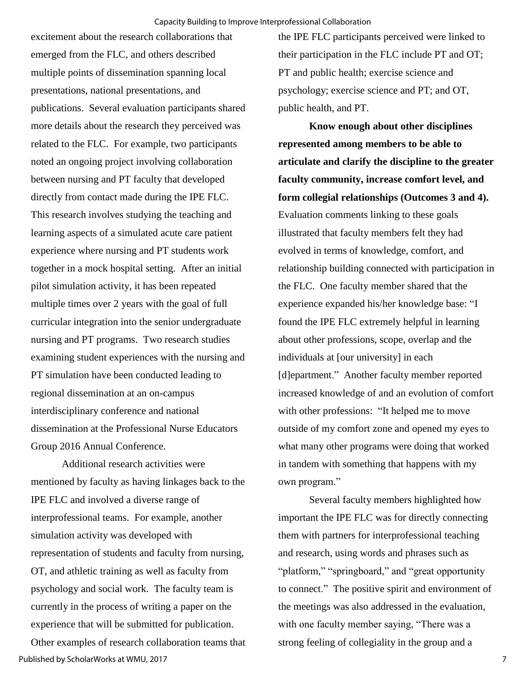excitement about the research collaborations that emerged from the FLC, and others described multiple points of dissemination spanning local presentations, national presentations, and publications. Several evaluation participants shared more details about the research they perceived was related to the FLC. For example, two participants noted an ongoing project involving collaboration between nursing and PT faculty that developed directly from contact made during the IPE FLC. This research involves studying the teaching and learning aspects of a simulated acute care patient experience where nursing and PT students work together in a mock hospital setting. After an initial pilot simulation activity, it has been repeated multiple times over 2 years with the goal of full curricular integration into the senior undergraduate nursing and PT programs. Two research studies examining student experiences with the nursing and PT simulation have been conducted leading to regional dissemination at an on-campus interdisciplinary conference and national dissemination at the Professional Nurse Educators Group 2016 Annual Conference.

Additional research activities were mentioned by faculty as having linkages back to the IPE FLC and involved a diverse range of interprofessional teams. For example, another simulation activity was developed with representation of students and faculty from nursing, OT, and athletic training as well as faculty from psychology and social work. The faculty team is currently in the process of writing a paper on the experience that will be submitted for publication.

Other examples of research collaboration teams that Published by ScholarWorks at WMU, 2017

the IPE FLC participants perceived were linked to their participation in the FLC include PT and OT; PT and public health; exercise science and psychology; exercise science and PT; and OT, public health, and PT.

**Know enough about other disciplines represented among members to be able to articulate and clarify the discipline to the greater faculty community, increase comfort level, and form collegial relationships (Outcomes 3 and 4).**  Evaluation comments linking to these goals illustrated that faculty members felt they had evolved in terms of knowledge, comfort, and relationship building connected with participation in the FLC. One faculty member shared that the experience expanded his/her knowledge base: "I found the IPE FLC extremely helpful in learning about other professions, scope, overlap and the individuals at [our university] in each [d]epartment." Another faculty member reported increased knowledge of and an evolution of comfort with other professions: "It helped me to move outside of my comfort zone and opened my eyes to what many other programs were doing that worked in tandem with something that happens with my own program."

Several faculty members highlighted how important the IPE FLC was for directly connecting them with partners for interprofessional teaching and research, using words and phrases such as "platform," "springboard," and "great opportunity to connect." The positive spirit and environment of the meetings was also addressed in the evaluation, with one faculty member saying, "There was a strong feeling of collegiality in the group and a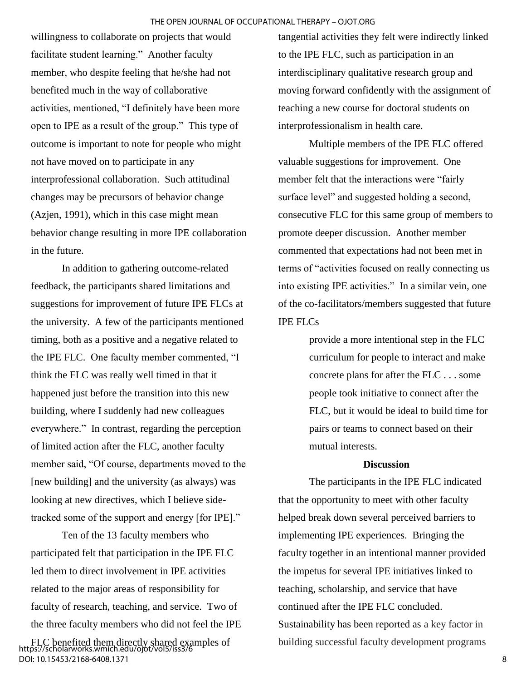willingness to collaborate on projects that would facilitate student learning." Another faculty member, who despite feeling that he/she had not benefited much in the way of collaborative activities, mentioned, "I definitely have been more open to IPE as a result of the group." This type of outcome is important to note for people who might not have moved on to participate in any interprofessional collaboration. Such attitudinal changes may be precursors of behavior change (Azjen, 1991), which in this case might mean behavior change resulting in more IPE collaboration in the future.

In addition to gathering outcome-related feedback, the participants shared limitations and suggestions for improvement of future IPE FLCs at the university. A few of the participants mentioned timing, both as a positive and a negative related to the IPE FLC. One faculty member commented, "I think the FLC was really well timed in that it happened just before the transition into this new building, where I suddenly had new colleagues everywhere." In contrast, regarding the perception of limited action after the FLC, another faculty member said, "Of course, departments moved to the [new building] and the university (as always) was looking at new directives, which I believe sidetracked some of the support and energy [for IPE]."

Ten of the 13 faculty members who participated felt that participation in the IPE FLC led them to direct involvement in IPE activities related to the major areas of responsibility for faculty of research, teaching, and service. Two of the three faculty members who did not feel the IPE tangential activities they felt were indirectly linked to the IPE FLC, such as participation in an interdisciplinary qualitative research group and moving forward confidently with the assignment of teaching a new course for doctoral students on interprofessionalism in health care.

Multiple members of the IPE FLC offered valuable suggestions for improvement. One member felt that the interactions were "fairly surface level" and suggested holding a second, consecutive FLC for this same group of members to promote deeper discussion. Another member commented that expectations had not been met in terms of "activities focused on really connecting us into existing IPE activities." In a similar vein, one of the co-facilitators/members suggested that future IPE FLCs

> provide a more intentional step in the FLC curriculum for people to interact and make concrete plans for after the FLC . . . some people took initiative to connect after the FLC, but it would be ideal to build time for pairs or teams to connect based on their mutual interests.

#### **Discussion**

The participants in the IPE FLC indicated that the opportunity to meet with other faculty helped break down several perceived barriers to implementing IPE experiences. Bringing the faculty together in an intentional manner provided the impetus for several IPE initiatives linked to teaching, scholarship, and service that have continued after the IPE FLC concluded. Sustainability has been reported as a key factor in building successful faculty development programs

FLC benefited them directly shared examples of https://scholarworks.wmich.edu/ojot/vol5/iss3/6 DOI: 10.15453/2168-6408.1371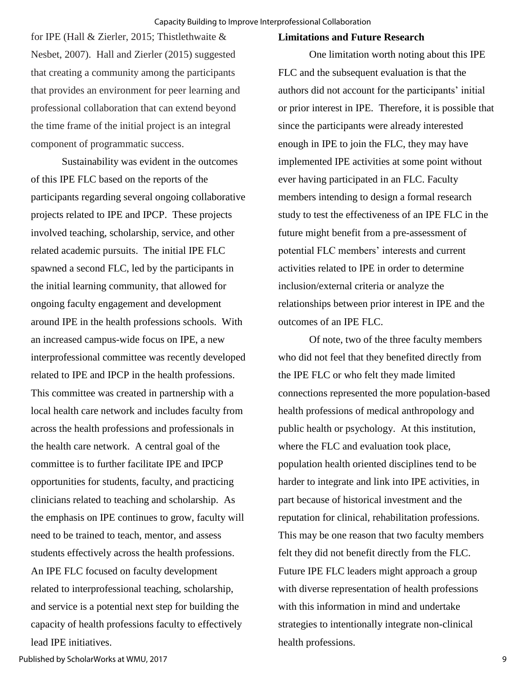for IPE (Hall & Zierler, 2015; Thistlethwaite & Nesbet, 2007). Hall and Zierler (2015) suggested that creating a community among the participants that provides an environment for peer learning and professional collaboration that can extend beyond the time frame of the initial project is an integral component of programmatic success.

Sustainability was evident in the outcomes of this IPE FLC based on the reports of the participants regarding several ongoing collaborative projects related to IPE and IPCP. These projects involved teaching, scholarship, service, and other related academic pursuits. The initial IPE FLC spawned a second FLC, led by the participants in the initial learning community, that allowed for ongoing faculty engagement and development around IPE in the health professions schools. With an increased campus-wide focus on IPE, a new interprofessional committee was recently developed related to IPE and IPCP in the health professions. This committee was created in partnership with a local health care network and includes faculty from across the health professions and professionals in the health care network. A central goal of the committee is to further facilitate IPE and IPCP opportunities for students, faculty, and practicing clinicians related to teaching and scholarship. As the emphasis on IPE continues to grow, faculty will need to be trained to teach, mentor, and assess students effectively across the health professions. An IPE FLC focused on faculty development related to interprofessional teaching, scholarship, and service is a potential next step for building the capacity of health professions faculty to effectively lead IPE initiatives.

#### **Limitations and Future Research**

One limitation worth noting about this IPE FLC and the subsequent evaluation is that the authors did not account for the participants' initial or prior interest in IPE. Therefore, it is possible that since the participants were already interested enough in IPE to join the FLC, they may have implemented IPE activities at some point without ever having participated in an FLC. Faculty members intending to design a formal research study to test the effectiveness of an IPE FLC in the future might benefit from a pre-assessment of potential FLC members' interests and current activities related to IPE in order to determine inclusion/external criteria or analyze the relationships between prior interest in IPE and the outcomes of an IPE FLC.

Of note, two of the three faculty members who did not feel that they benefited directly from the IPE FLC or who felt they made limited connections represented the more population-based health professions of medical anthropology and public health or psychology. At this institution, where the FLC and evaluation took place, population health oriented disciplines tend to be harder to integrate and link into IPE activities, in part because of historical investment and the reputation for clinical, rehabilitation professions. This may be one reason that two faculty members felt they did not benefit directly from the FLC. Future IPE FLC leaders might approach a group with diverse representation of health professions with this information in mind and undertake strategies to intentionally integrate non-clinical health professions.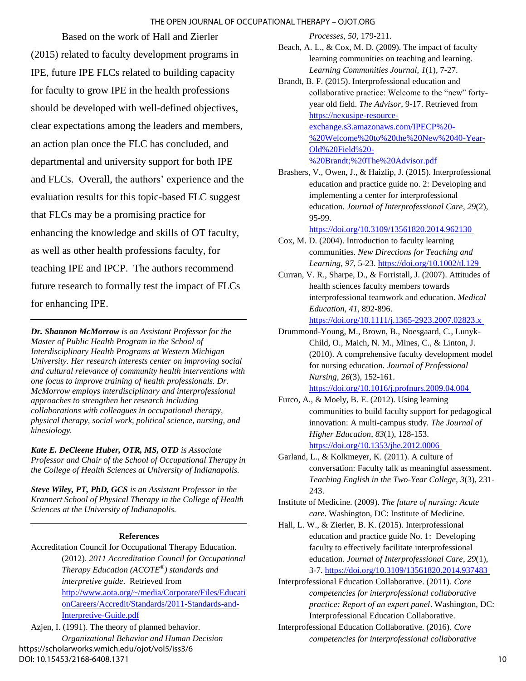#### THE OPEN JOURNAL OF OCCUPATIONAL THERAPY – OJOT.ORG

Based on the work of Hall and Zierler (2015) related to faculty development programs in IPE, future IPE FLCs related to building capacity for faculty to grow IPE in the health professions should be developed with well-defined objectives, clear expectations among the leaders and members, an action plan once the FLC has concluded, and departmental and university support for both IPE and FLCs. Overall, the authors' experience and the evaluation results for this topic-based FLC suggest that FLCs may be a promising practice for enhancing the knowledge and skills of OT faculty, as well as other health professions faculty, for teaching IPE and IPCP. The authors recommend future research to formally test the impact of FLCs for enhancing IPE.

*Dr. Shannon McMorrow is an Assistant Professor for the Master of Public Health Program in the School of Interdisciplinary Health Programs at Western Michigan University. Her research interests center on improving social and cultural relevance of community health interventions with one focus to improve training of health professionals. Dr. McMorrow employs interdisciplinary and interprofessional approaches to strengthen her research including collaborations with colleagues in occupational therapy, physical therapy, social work, political science, nursing, and kinesiology.*

*Kate E. DeCleene Huber, OTR, MS, OTD is Associate Professor and Chair of the School of Occupational Therapy in the College of Health Sciences at University of Indianapolis.*

*Steve Wiley, PT, PhD, GCS is an Assistant Professor in the Krannert School of Physical Therapy in the College of Health Sciences at the University of Indianapolis.*

#### **References**

Accreditation Council for Occupational Therapy Education.

(2012). *2011 Accreditation Council for Occupational Therapy Education (ACOTE® ) standards and interpretive guide*. Retrieved from [http://www.aota.org/~/media/Corporate/Files/Educati](http://www.aota.org/~/media/Corporate/Files/EducationCareers/Accredit/Standards/2011-Standards-and-Interpretive-Guide.pdf) [onCareers/Accredit/Standards/2011-Standards-and-](http://www.aota.org/~/media/Corporate/Files/EducationCareers/Accredit/Standards/2011-Standards-and-Interpretive-Guide.pdf)[Interpretive-Guide.pdf](http://www.aota.org/~/media/Corporate/Files/EducationCareers/Accredit/Standards/2011-Standards-and-Interpretive-Guide.pdf)

Azjen, I. (1991). The theory of planned behavior. *Organizational Behavior and Human Decision*  https://scholarworks.wmich.edu/ojot/vol5/iss3/6 DOI: 10.15453/2168-6408.1371

*Processes*, *50,* 179-211.

- Beach, A. L., & Cox, M. D. (2009). The impact of faculty learning communities on teaching and learning. *Learning Communities Journal*, *1*(1), 7-27.
- Brandt, B. F. (2015). Interprofessional education and collaborative practice: Welcome to the "new" fortyyear old field. *The Advisor*, 9-17. Retrieved from [https://nexusipe-resource](https://nexusipe-resource-exchange.s3.amazonaws.com/IPECP%20-%20Welcome%20to%20the%20New%2040-Year-Old%20Field%20-%20Brandt;%20The%20Advisor.pdf)[exchange.s3.amazonaws.com/IPECP%20-](https://nexusipe-resource-exchange.s3.amazonaws.com/IPECP%20-%20Welcome%20to%20the%20New%2040-Year-Old%20Field%20-%20Brandt;%20The%20Advisor.pdf) [%20Welcome%20to%20the%20New%2040-Year-](https://nexusipe-resource-exchange.s3.amazonaws.com/IPECP%20-%20Welcome%20to%20the%20New%2040-Year-Old%20Field%20-%20Brandt;%20The%20Advisor.pdf)[Old%20Field%20-](https://nexusipe-resource-exchange.s3.amazonaws.com/IPECP%20-%20Welcome%20to%20the%20New%2040-Year-Old%20Field%20-%20Brandt;%20The%20Advisor.pdf) [%20Brandt;%20The%20Advisor.pdf](https://nexusipe-resource-exchange.s3.amazonaws.com/IPECP%20-%20Welcome%20to%20the%20New%2040-Year-Old%20Field%20-%20Brandt;%20The%20Advisor.pdf)
- Brashers, V., Owen, J., & Haizlip, J. (2015). Interprofessional education and practice guide no. 2: Developing and implementing a center for interprofessional education. *Journal of Interprofessional Care*, *29*(2), 95-99.

[https://doi.org/10.3109/13561820.2014.962130](https://doi.org/10.3109/13561820.2014.962130 ) 

- Cox, M. D. (2004). Introduction to faculty learning communities. *New Directions for Teaching and Learning*, *97*, 5-23. [https://doi.org/10.1002/tl.129](https://doi.org/10.1002/tl.129 )
- Curran, V. R., Sharpe, D., & Forristall, J. (2007). Attitudes of health sciences faculty members towards interprofessional teamwork and education. *Medical Education*, *41*, 892-896.

[https://doi.org/10.1111/j.1365-2923.2007.02823.x](https://doi.org/10.1111/j.1365-2923.2007.02823.x ) 

Drummond-Young, M., Brown, B., Noesgaard, C., Lunyk-Child, O., Maich, N. M., Mines, C., & Linton, J. (2010). A comprehensive faculty development model for nursing education. *Journal of Professional Nursing*, *26*(3), 152-161.

[https://doi.org/10.1016/j.profnurs.2009.04.004](https://doi.org/10.1016/j.profnurs.2009.04.004 ) 

- Furco, A., & Moely, B. E. (2012). Using learning communities to build faculty support for pedagogical innovation: A multi-campus study. *The Journal of Higher Education*, *83*(1), 128-153. [https://doi.org/10.1353/jhe.2012.0006](https://doi.org/10.1353/jhe.2012.0006 )
- Garland, L., & Kolkmeyer, K. (2011). A culture of conversation: Faculty talk as meaningful assessment. *Teaching English in the Two-Year College*, *3*(3), 231- 243.
- Institute of Medicine. (2009). *The future of nursing: Acute care*. Washington, DC: Institute of Medicine.
- Hall, L. W., & Zierler, B. K. (2015). Interprofessional education and practice guide No. 1: Developing faculty to effectively facilitate interprofessional education. *Journal of Interprofessional Care*, *29*(1), 3-7. [https://doi.org/10.3109/13561820.2014.937483](https://doi.org/10.3109/13561820.2014.937483 )
- Interprofessional Education Collaborative. (2011). *Core competencies for interprofessional collaborative practice: Report of an expert panel*. Washington, DC: Interprofessional Education Collaborative.
- Interprofessional Education Collaborative. (2016). *Core competencies for interprofessional collaborative*